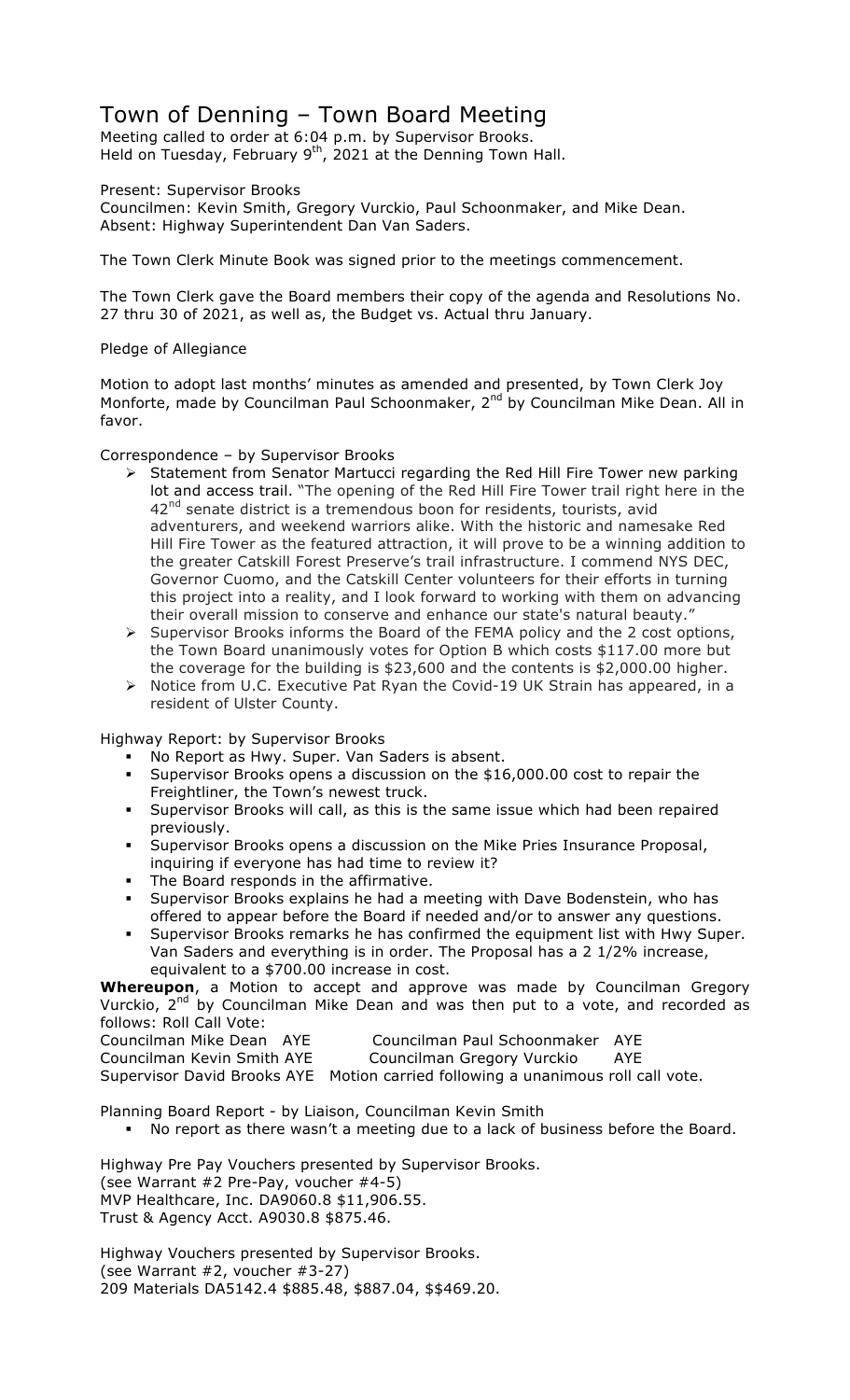# Town of Denning – Town Board Meeting

Meeting called to order at 6:04 p.m. by Supervisor Brooks. Held on Tuesday, February 9<sup>th</sup>, 2021 at the Denning Town Hall.

Present: Supervisor Brooks

Councilmen: Kevin Smith, Gregory Vurckio, Paul Schoonmaker, and Mike Dean. Absent: Highway Superintendent Dan Van Saders.

The Town Clerk Minute Book was signed prior to the meetings commencement.

The Town Clerk gave the Board members their copy of the agenda and Resolutions No. 27 thru 30 of 2021, as well as, the Budget vs. Actual thru January.

#### Pledge of Allegiance

Motion to adopt last months' minutes as amended and presented, by Town Clerk Joy Monforte, made by Councilman Paul Schoonmaker, 2<sup>nd</sup> by Councilman Mike Dean. All in favor.

#### Correspondence – by Supervisor Brooks

- ! Statement from Senator Martucci regarding the Red Hill Fire Tower new parking lot and access trail. "The opening of the Red Hill Fire Tower trail right here in the  $42<sup>nd</sup>$  senate district is a tremendous boon for residents, tourists, avid adventurers, and weekend warriors alike. With the historic and namesake Red Hill Fire Tower as the featured attraction, it will prove to be a winning addition to the greater Catskill Forest Preserve's trail infrastructure. I commend NYS DEC, Governor Cuomo, and the Catskill Center volunteers for their efforts in turning this project into a reality, and I look forward to working with them on advancing their overall mission to conserve and enhance our state's natural beauty.'
- > Supervisor Brooks informs the Board of the FEMA policy and the 2 cost options, the Town Board unanimously votes for Option B which costs \$117.00 more but the coverage for the building is \$23,600 and the contents is \$2,000.00 higher.
- > Notice from U.C. Executive Pat Ryan the Covid-19 UK Strain has appeared, in a resident of Ulster County.

Highway Report: by Supervisor Brooks

- No Report as Hwy. Super. Van Saders is absent.
- Supervisor Brooks opens a discussion on the \$16,000.00 cost to repair the Freightliner, the Town's newest truck.
- " Supervisor Brooks will call, as this is the same issue which had been repaired previously.
- " Supervisor Brooks opens a discussion on the Mike Pries Insurance Proposal, inquiring if everyone has had time to review it?
- " The Board responds in the affirmative.
- " Supervisor Brooks explains he had a meeting with Dave Bodenstein, who has offered to appear before the Board if needed and/or to answer any questions.
- Supervisor Brooks remarks he has confirmed the equipment list with Hwy Super. Van Saders and everything is in order. The Proposal has a 2 1/2% increase, equivalent to a \$700.00 increase in cost.

**Whereupon**, a Motion to accept and approve was made by Councilman Gregory Vurckio,  $2^{nd}$  by Councilman Mike Dean and was then put to a vote, and recorded as follows: Roll Call Vote:

| Councilman Mike Dean AY    |  |  |
|----------------------------|--|--|
| Councilman Kevin Smith AY  |  |  |
| Supervisor David Brooks AV |  |  |

'E Councilman Paul Schoonmaker AYE

Councilman Kevin Smith AYE Councilman Gregory Vurckio AYE

Supervisor David Brooks AYE Motion carried following a unanimous roll call vote.

Planning Board Report - by Liaison, Councilman Kevin Smith

" No report as there wasn't a meeting due to a lack of business before the Board.

Highway Pre Pay Vouchers presented by Supervisor Brooks. (see Warrant #2 Pre-Pay, voucher #4-5) MVP Healthcare, Inc. DA9060.8 \$11,906.55. Trust & Agency Acct. A9030.8 \$875.46.

Highway Vouchers presented by Supervisor Brooks. (see Warrant #2, voucher #3-27) 209 Materials DA5142.4 \$885.48, \$887.04, \$\$469.20.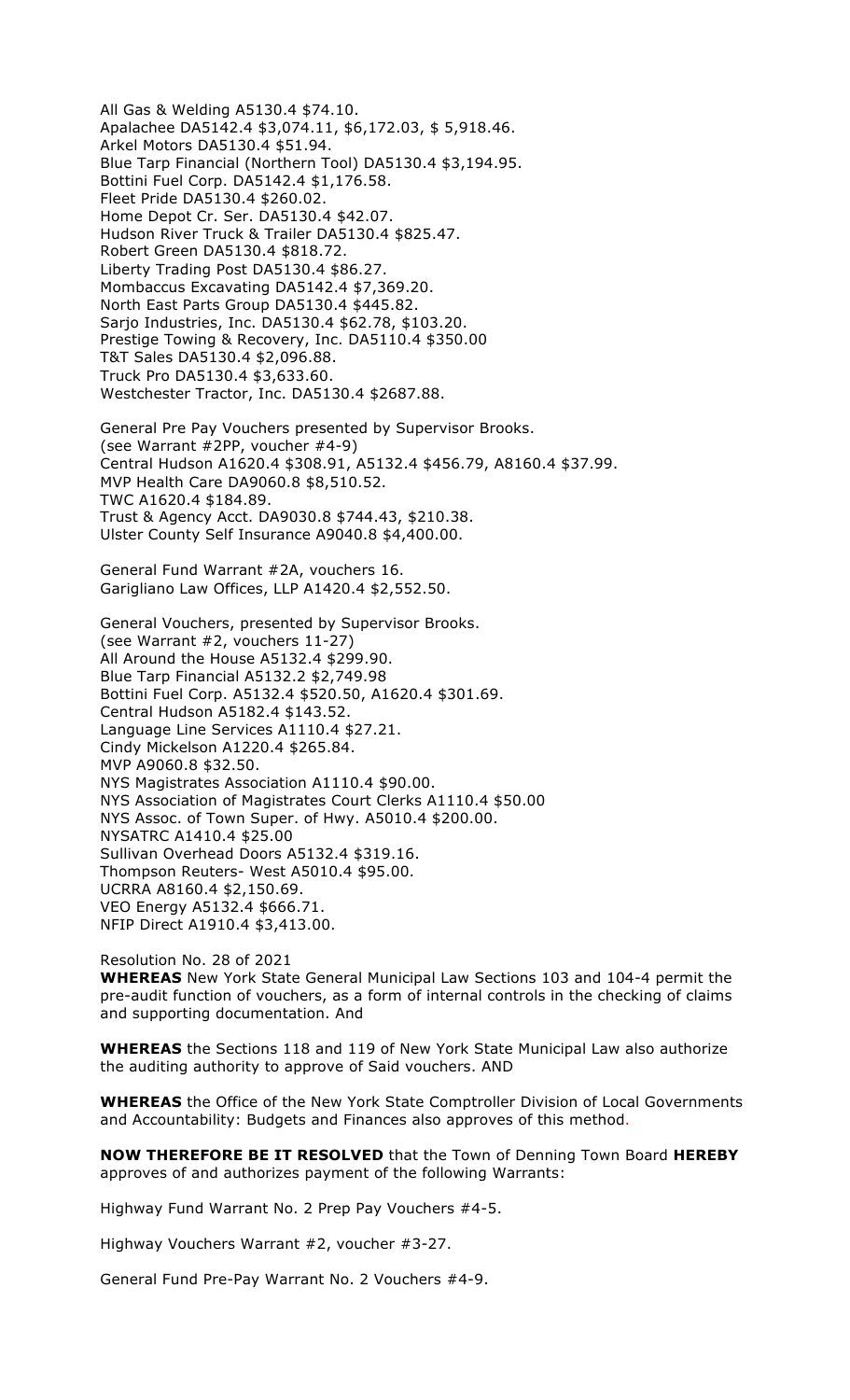All Gas & Welding A5130.4 \$74.10. Apalachee DA5142.4 \$3,074.11, \$6,172.03, \$ 5,918.46. Arkel Motors DA5130.4 \$51.94. Blue Tarp Financial (Northern Tool) DA5130.4 \$3,194.95. Bottini Fuel Corp. DA5142.4 \$1,176.58. Fleet Pride DA5130.4 \$260.02. Home Depot Cr. Ser. DA5130.4 \$42.07. Hudson River Truck & Trailer DA5130.4 \$825.47. Robert Green DA5130.4 \$818.72. Liberty Trading Post DA5130.4 \$86.27. Mombaccus Excavating DA5142.4 \$7,369.20. North East Parts Group DA5130.4 \$445.82. Sarjo Industries, Inc. DA5130.4 \$62.78, \$103.20. Prestige Towing & Recovery, Inc. DA5110.4 \$350.00 T&T Sales DA5130.4 \$2,096.88. Truck Pro DA5130.4 \$3,633.60. Westchester Tractor, Inc. DA5130.4 \$2687.88.

General Pre Pay Vouchers presented by Supervisor Brooks. (see Warrant #2PP, voucher #4-9) Central Hudson A1620.4 \$308.91, A5132.4 \$456.79, A8160.4 \$37.99. MVP Health Care DA9060.8 \$8,510.52. TWC A1620.4 \$184.89. Trust & Agency Acct. DA9030.8 \$744.43, \$210.38. Ulster County Self Insurance A9040.8 \$4,400.00.

General Fund Warrant #2A, vouchers 16. Garigliano Law Offices, LLP A1420.4 \$2,552.50.

General Vouchers, presented by Supervisor Brooks. (see Warrant #2, vouchers 11-27) All Around the House A5132.4 \$299.90. Blue Tarp Financial A5132.2 \$2,749.98 Bottini Fuel Corp. A5132.4 \$520.50, A1620.4 \$301.69. Central Hudson A5182.4 \$143.52. Language Line Services A1110.4 \$27.21. Cindy Mickelson A1220.4 \$265.84. MVP A9060.8 \$32.50. NYS Magistrates Association A1110.4 \$90.00. NYS Association of Magistrates Court Clerks A1110.4 \$50.00 NYS Assoc. of Town Super. of Hwy. A5010.4 \$200.00. NYSATRC A1410.4 \$25.00 Sullivan Overhead Doors A5132.4 \$319.16. Thompson Reuters- West A5010.4 \$95.00. UCRRA A8160.4 \$2,150.69. VEO Energy A5132.4 \$666.71. NFIP Direct A1910.4 \$3,413.00.

Resolution No. 28 of 2021 **WHEREAS** New York State General Municipal Law Sections 103 and 104-4 permit the pre-audit function of vouchers, as a form of internal controls in the checking of claims and supporting documentation. And

**WHEREAS** the Sections 118 and 119 of New York State Municipal Law also authorize the auditing authority to approve of Said vouchers. AND

**WHEREAS** the Office of the New York State Comptroller Division of Local Governments and Accountability: Budgets and Finances also approves of this method.

**NOW THEREFORE BE IT RESOLVED** that the Town of Denning Town Board **HEREBY** approves of and authorizes payment of the following Warrants:

Highway Fund Warrant No. 2 Prep Pay Vouchers #4-5.

Highway Vouchers Warrant #2, voucher #3-27.

General Fund Pre-Pay Warrant No. 2 Vouchers #4-9.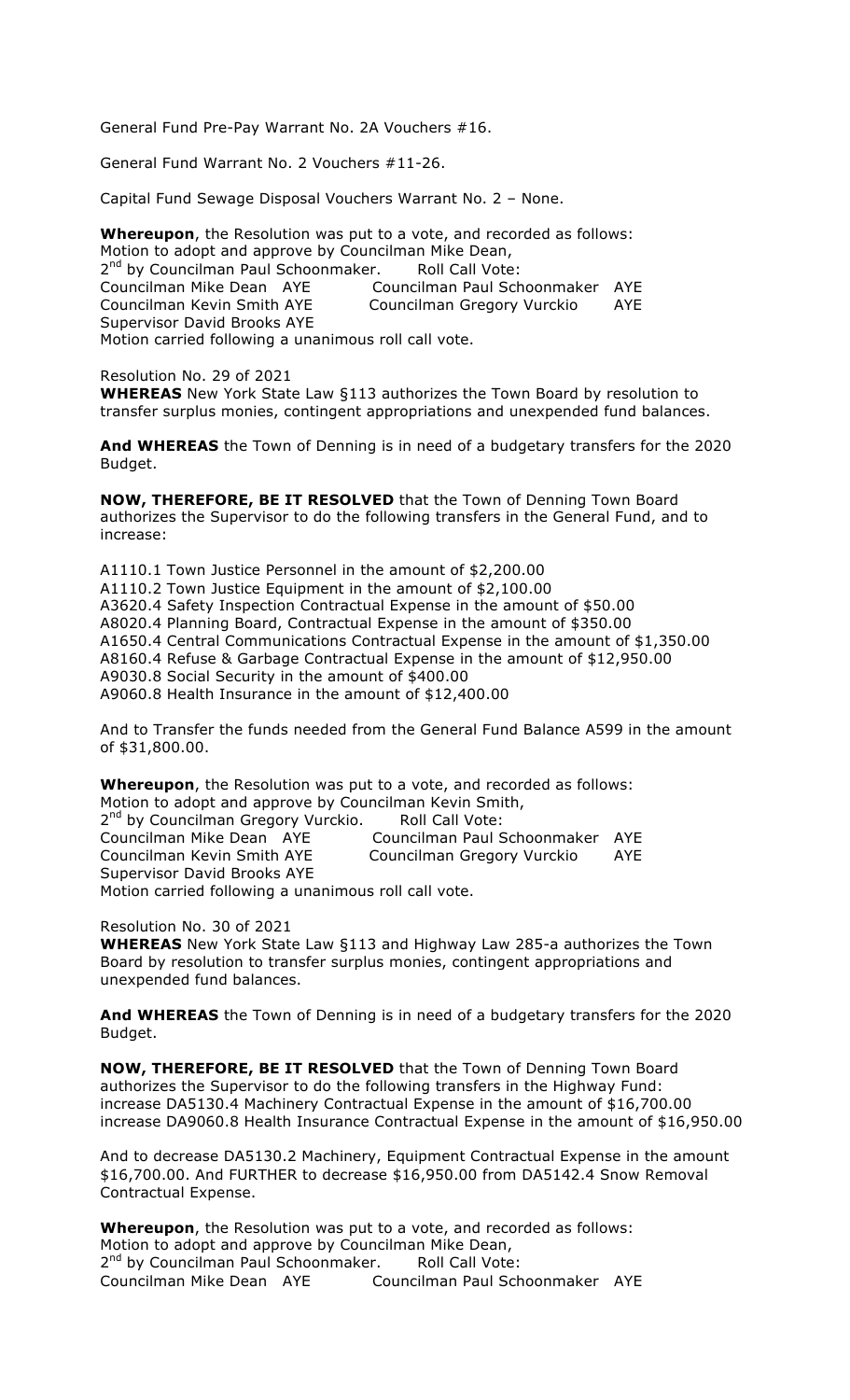General Fund Pre-Pay Warrant No. 2A Vouchers #16.

General Fund Warrant No. 2 Vouchers #11-26.

Capital Fund Sewage Disposal Vouchers Warrant No. 2 – None.

**Whereupon**, the Resolution was put to a vote, and recorded as follows: Motion to adopt and approve by Councilman Mike Dean, 2<sup>nd</sup> by Councilman Paul Schoonmaker. Roll Call Vote: Councilman Mike Dean AYE Councilman Paul Schoonmaker AYE Councilman Kevin Smith AYE Councilman Gregory Vurckio AYE Supervisor David Brooks AYE Motion carried following a unanimous roll call vote.

Resolution No. 29 of 2021 **WHEREAS** New York State Law §113 authorizes the Town Board by resolution to transfer surplus monies, contingent appropriations and unexpended fund balances.

**And WHEREAS** the Town of Denning is in need of a budgetary transfers for the 2020 Budget.

**NOW, THEREFORE, BE IT RESOLVED** that the Town of Denning Town Board authorizes the Supervisor to do the following transfers in the General Fund, and to increase:

A1110.1 Town Justice Personnel in the amount of \$2,200.00 A1110.2 Town Justice Equipment in the amount of \$2,100.00 A3620.4 Safety Inspection Contractual Expense in the amount of \$50.00 A8020.4 Planning Board, Contractual Expense in the amount of \$350.00 A1650.4 Central Communications Contractual Expense in the amount of \$1,350.00 A8160.4 Refuse & Garbage Contractual Expense in the amount of \$12,950.00 A9030.8 Social Security in the amount of \$400.00 A9060.8 Health Insurance in the amount of \$12,400.00

And to Transfer the funds needed from the General Fund Balance A599 in the amount of \$31,800.00.

**Whereupon**, the Resolution was put to a vote, and recorded as follows: Motion to adopt and approve by Councilman Kevin Smith, 2<sup>nd</sup> by Councilman Gregory Vurckio. Roll Call Vote: Councilman Mike Dean AYE Councilman Paul Schoonmaker AYE Councilman Kevin Smith AYE Councilman Gregory Vurckio AYE Supervisor David Brooks AYE Motion carried following a unanimous roll call vote.

Resolution No. 30 of 2021

**WHEREAS** New York State Law §113 and Highway Law 285-a authorizes the Town Board by resolution to transfer surplus monies, contingent appropriations and unexpended fund balances.

**And WHEREAS** the Town of Denning is in need of a budgetary transfers for the 2020 Budget.

**NOW, THEREFORE, BE IT RESOLVED** that the Town of Denning Town Board authorizes the Supervisor to do the following transfers in the Highway Fund: increase DA5130.4 Machinery Contractual Expense in the amount of \$16,700.00 increase DA9060.8 Health Insurance Contractual Expense in the amount of \$16,950.00

And to decrease DA5130.2 Machinery, Equipment Contractual Expense in the amount \$16,700.00. And FURTHER to decrease \$16,950.00 from DA5142.4 Snow Removal Contractual Expense.

**Whereupon**, the Resolution was put to a vote, and recorded as follows: Motion to adopt and approve by Councilman Mike Dean, 2<sup>nd</sup> by Councilman Paul Schoonmaker. Roll Call Vote: Councilman Mike Dean AYE Councilman Paul Schoonmaker AYE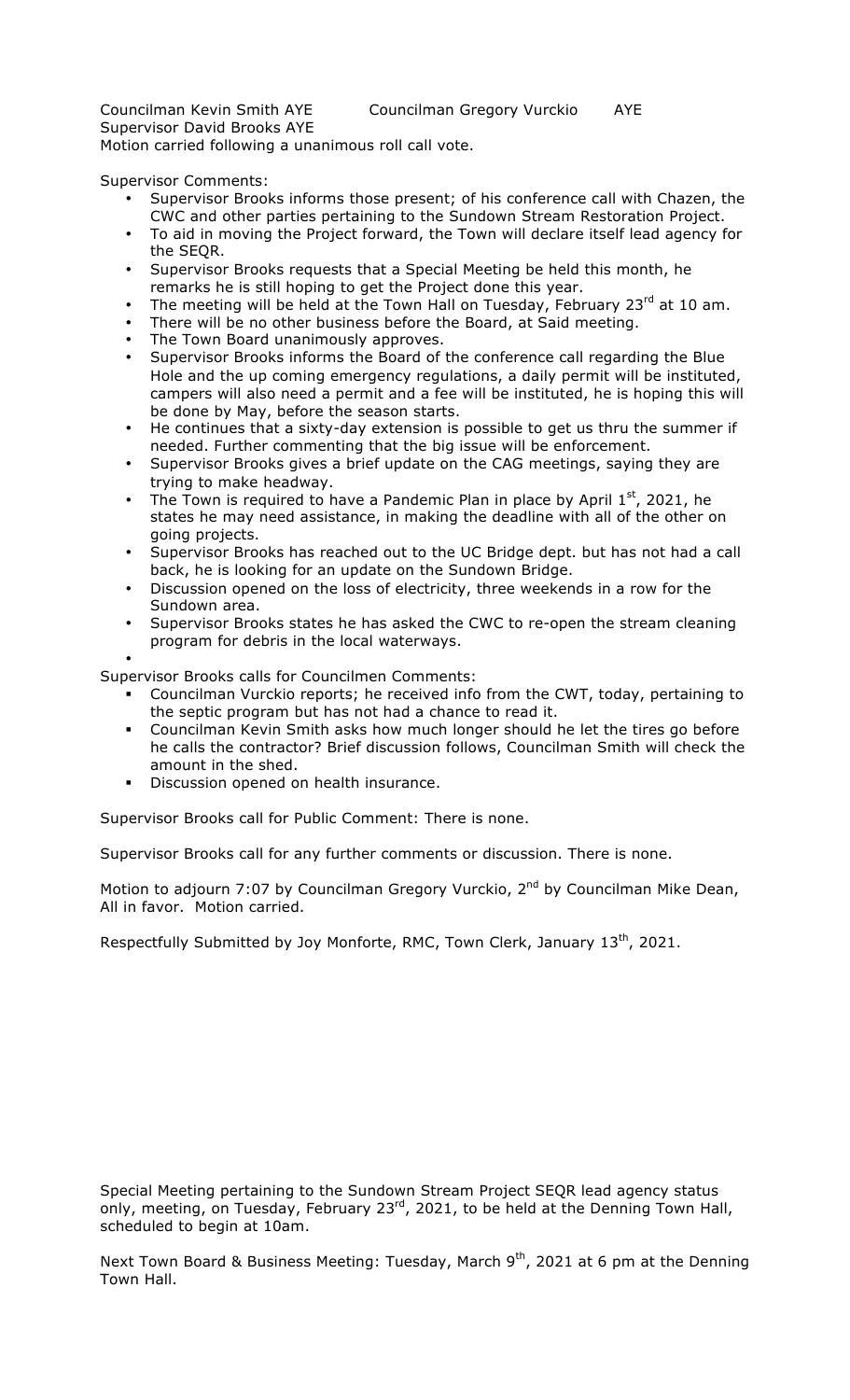Supervisor David Brooks AYE

Motion carried following a unanimous roll call vote.

Supervisor Comments:

- Supervisor Brooks informs those present; of his conference call with Chazen, the CWC and other parties pertaining to the Sundown Stream Restoration Project.
- To aid in moving the Project forward, the Town will declare itself lead agency for the SEQR.
- Supervisor Brooks requests that a Special Meeting be held this month, he remarks he is still hoping to get the Project done this year.
- The meeting will be held at the Town Hall on Tuesday, February 23rd at 10 am.
- There will be no other business before the Board, at Said meeting.
- The Town Board unanimously approves.
- Supervisor Brooks informs the Board of the conference call regarding the Blue Hole and the up coming emergency regulations, a daily permit will be instituted, campers will also need a permit and a fee will be instituted, he is hoping this will be done by May, before the season starts.
- He continues that a sixty-day extension is possible to get us thru the summer if needed. Further commenting that the big issue will be enforcement.
- Supervisor Brooks gives a brief update on the CAG meetings, saying they are trying to make headway.
- The Town is required to have a Pandemic Plan in place by April  $1<sup>st</sup>$ , 2021, he states he may need assistance, in making the deadline with all of the other on going projects.
- Supervisor Brooks has reached out to the UC Bridge dept. but has not had a call back, he is looking for an update on the Sundown Bridge.
- Discussion opened on the loss of electricity, three weekends in a row for the Sundown area.
- Supervisor Brooks states he has asked the CWC to re-open the stream cleaning program for debris in the local waterways.
- •

Supervisor Brooks calls for Councilmen Comments:

- " Councilman Vurckio reports; he received info from the CWT, today, pertaining to the septic program but has not had a chance to read it.
- " Councilman Kevin Smith asks how much longer should he let the tires go before he calls the contractor? Brief discussion follows, Councilman Smith will check the amount in the shed.
- **•** Discussion opened on health insurance.

Supervisor Brooks call for Public Comment: There is none.

Supervisor Brooks call for any further comments or discussion. There is none.

Motion to adjourn 7:07 by Councilman Gregory Vurckio, 2<sup>nd</sup> by Councilman Mike Dean, All in favor. Motion carried.

Respectfully Submitted by Joy Monforte, RMC, Town Clerk, January 13<sup>th</sup>, 2021.

Special Meeting pertaining to the Sundown Stream Project SEQR lead agency status only, meeting, on Tuesday, February 23 $^{rd}$ , 2021, to be held at the Denning Town Hall, scheduled to begin at 10am.

Next Town Board & Business Meeting: Tuesday, March  $9<sup>th</sup>$ , 2021 at 6 pm at the Denning Town Hall.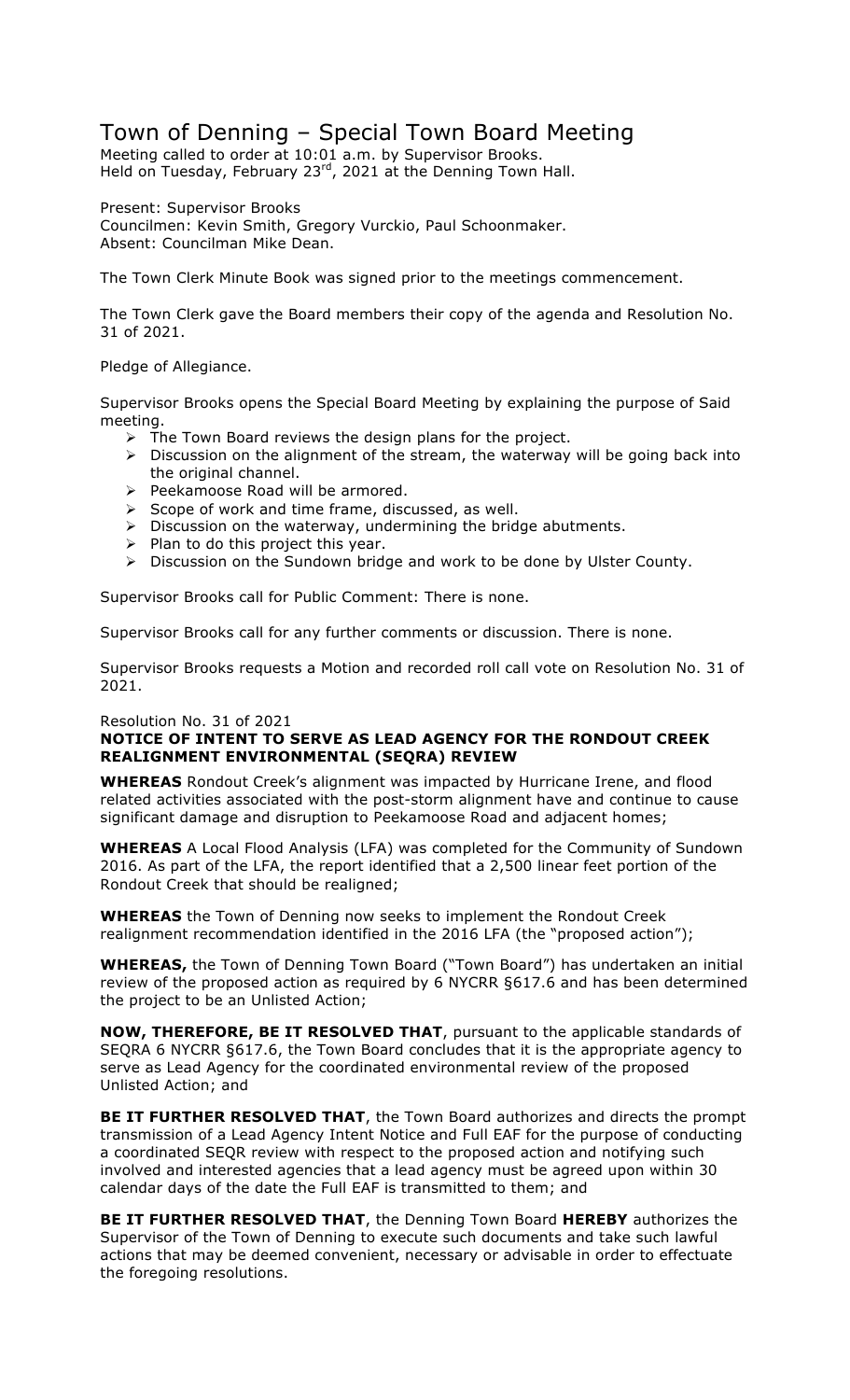# Town of Denning – Special Town Board Meeting

Meeting called to order at 10:01 a.m. by Supervisor Brooks. Held on Tuesday, February 23<sup>rd</sup>, 2021 at the Denning Town Hall.

Present: Supervisor Brooks Councilmen: Kevin Smith, Gregory Vurckio, Paul Schoonmaker. Absent: Councilman Mike Dean.

The Town Clerk Minute Book was signed prior to the meetings commencement.

The Town Clerk gave the Board members their copy of the agenda and Resolution No. 31 of 2021.

Pledge of Allegiance.

Supervisor Brooks opens the Special Board Meeting by explaining the purpose of Said meeting.

- $\triangleright$  The Town Board reviews the design plans for the project.
- $\triangleright$  Discussion on the alignment of the stream, the waterway will be going back into the original channel.
- $\triangleright$  Peekamoose Road will be armored.
- $\triangleright$  Scope of work and time frame, discussed, as well.
- $\triangleright$  Discussion on the waterway, undermining the bridge abutments.
- $\triangleright$  Plan to do this project this year.
- $\triangleright$  Discussion on the Sundown bridge and work to be done by Ulster County.

Supervisor Brooks call for Public Comment: There is none.

Supervisor Brooks call for any further comments or discussion. There is none.

Supervisor Brooks requests a Motion and recorded roll call vote on Resolution No. 31 of 2021.

### Resolution No. 31 of 2021

### **NOTICE OF INTENT TO SERVE AS LEAD AGENCY FOR THE RONDOUT CREEK REALIGNMENT ENVIRONMENTAL (SEQRA) REVIEW**

**WHEREAS** Rondout Creek's alignment was impacted by Hurricane Irene, and flood related activities associated with the post-storm alignment have and continue to cause significant damage and disruption to Peekamoose Road and adjacent homes;

**WHEREAS** A Local Flood Analysis (LFA) was completed for the Community of Sundown 2016. As part of the LFA, the report identified that a 2,500 linear feet portion of the Rondout Creek that should be realigned;

**WHEREAS** the Town of Denning now seeks to implement the Rondout Creek realignment recommendation identified in the 2016 LFA (the "proposed action");

**WHEREAS,** the Town of Denning Town Board ("Town Board") has undertaken an initial review of the proposed action as required by 6 NYCRR §617.6 and has been determined the project to be an Unlisted Action;

**NOW, THEREFORE, BE IT RESOLVED THAT**, pursuant to the applicable standards of SEQRA 6 NYCRR §617.6, the Town Board concludes that it is the appropriate agency to serve as Lead Agency for the coordinated environmental review of the proposed Unlisted Action; and

**BE IT FURTHER RESOLVED THAT**, the Town Board authorizes and directs the prompt transmission of a Lead Agency Intent Notice and Full EAF for the purpose of conducting a coordinated SEQR review with respect to the proposed action and notifying such involved and interested agencies that a lead agency must be agreed upon within 30 calendar days of the date the Full EAF is transmitted to them; and

**BE IT FURTHER RESOLVED THAT**, the Denning Town Board **HEREBY** authorizes the Supervisor of the Town of Denning to execute such documents and take such lawful actions that may be deemed convenient, necessary or advisable in order to effectuate the foregoing resolutions.